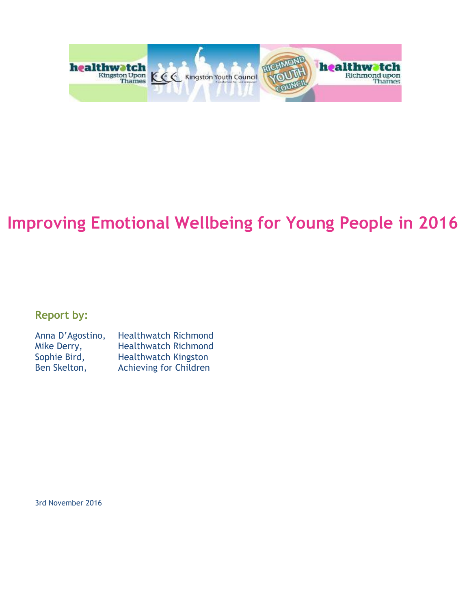

# **Improving Emotional Wellbeing for Young People in 2016**

**Report by:** 

| Anna D'Agostino, | <b>Healthwatch Richmond</b>   |
|------------------|-------------------------------|
| Mike Derry,      | <b>Healthwatch Richmond</b>   |
| Sophie Bird,     | <b>Healthwatch Kingston</b>   |
| Ben Skelton,     | <b>Achieving for Children</b> |

3rd November 2016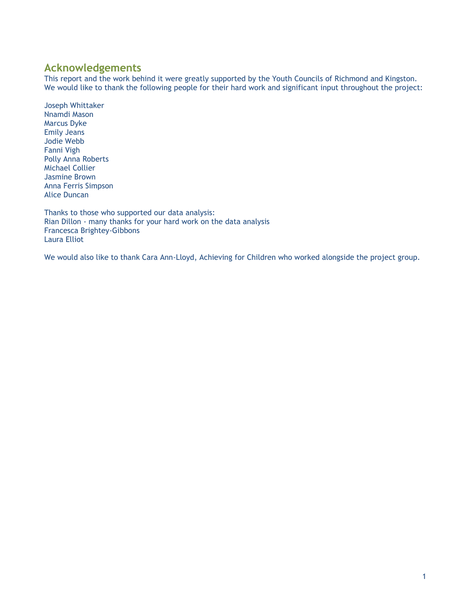## <span id="page-1-0"></span>**Acknowledgements**

This report and the work behind it were greatly supported by the Youth Councils of Richmond and Kingston. We would like to thank the following people for their hard work and significant input throughout the project:

Joseph Whittaker Nnamdi Mason Marcus Dyke Emily Jeans Jodie Webb Fanni Vigh Polly Anna Roberts Michael Collier Jasmine Brown Anna Ferris Simpson Alice Duncan

Thanks to those who supported our data analysis: Rian Dillon - many thanks for your hard work on the data analysis Francesca Brightey-Gibbons Laura Elliot

We would also like to thank Cara Ann-Lloyd, Achieving for Children who worked alongside the project group.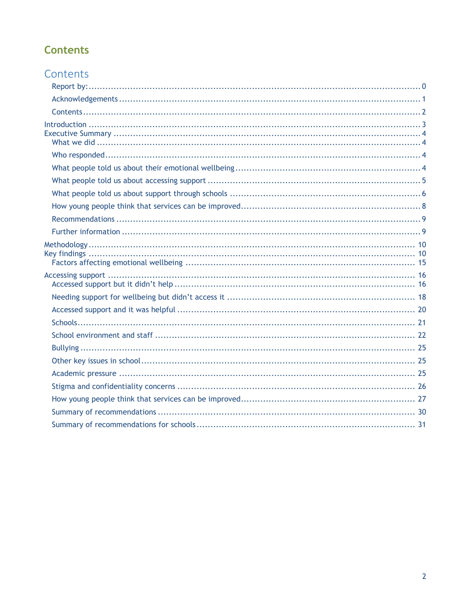# <span id="page-2-0"></span>**Contents**

| Contents |
|----------|
|          |
|          |
|          |
|          |
|          |
|          |
|          |
|          |
|          |
|          |
|          |
|          |
|          |
|          |
|          |
|          |
|          |
|          |
|          |
|          |
|          |
|          |
|          |
|          |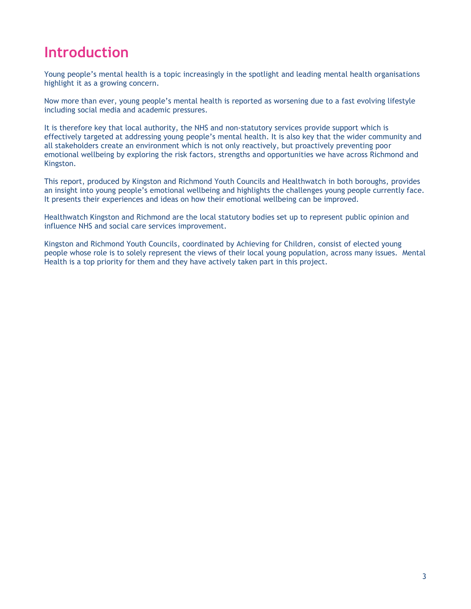# <span id="page-3-0"></span>**Introduction**

Young people's mental health is a topic increasingly in the spotlight and leading mental health organisations highlight it as a growing concern.

Now more than ever, young people's mental health is reported as worsening due to a fast evolving lifestyle including social media and academic pressures.

It is therefore key that local authority, the NHS and non-statutory services provide support which is effectively targeted at addressing young people's mental health. It is also key that the wider community and all stakeholders create an environment which is not only reactively, but proactively preventing poor emotional wellbeing by exploring the risk factors, strengths and opportunities we have across Richmond and Kingston.

This report, produced by Kingston and Richmond Youth Councils and Healthwatch in both boroughs, provides an insight into young people's emotional wellbeing and highlights the challenges young people currently face. It presents their experiences and ideas on how their emotional wellbeing can be improved.

Healthwatch Kingston and Richmond are the local statutory bodies set up to represent public opinion and influence NHS and social care services improvement.

Kingston and Richmond Youth Councils, coordinated by Achieving for Children, consist of elected young people whose role is to solely represent the views of their local young population, across many issues. Mental Health is a top priority for them and they have actively taken part in this project.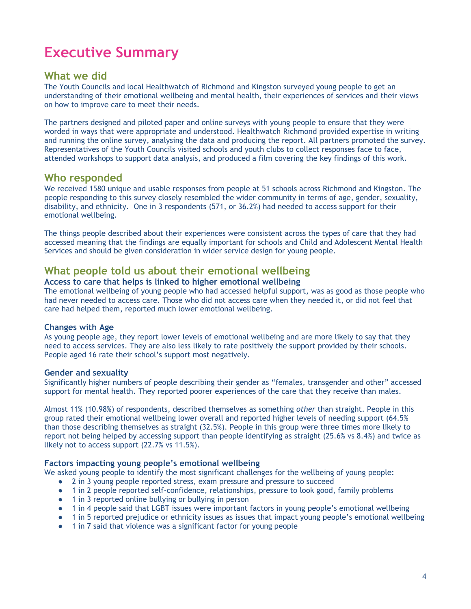# <span id="page-4-0"></span>**Executive Summary**

## <span id="page-4-1"></span>**What we did**

The Youth Councils and local Healthwatch of Richmond and Kingston surveyed young people to get an understanding of their emotional wellbeing and mental health, their experiences of services and their views on how to improve care to meet their needs.

The partners designed and piloted paper and online surveys with young people to ensure that they were worded in ways that were appropriate and understood. Healthwatch Richmond provided expertise in writing and running the online survey, analysing the data and producing the report. All partners promoted the survey. Representatives of the Youth Councils visited schools and youth clubs to collect responses face to face, attended workshops to support data analysis, and produced a film covering the key findings of this work.

## <span id="page-4-2"></span>**Who responded**

We received 1580 unique and usable responses from people at 51 schools across Richmond and Kingston. The people responding to this survey closely resembled the wider community in terms of age, gender, sexuality, disability, and ethnicity. One in 3 respondents (571, or 36.2%) had needed to access support for their emotional wellbeing.

The things people described about their experiences were consistent across the types of care that they had accessed meaning that the findings are equally important for schools and Child and Adolescent Mental Health Services and should be given consideration in wider service design for young people.

## <span id="page-4-3"></span>**What people told us about their emotional wellbeing**

#### **Access to care that helps is linked to higher emotional wellbeing**

The emotional wellbeing of young people who had accessed helpful support, was as good as those people who had never needed to access care. Those who did not access care when they needed it, or did not feel that care had helped them, reported much lower emotional wellbeing.

#### **Changes with Age**

As young people age, they report lower levels of emotional wellbeing and are more likely to say that they need to access services. They are also less likely to rate positively the support provided by their schools. People aged 16 rate their school's support most negatively.

#### **Gender and sexuality**

Significantly higher numbers of people describing their gender as "females, transgender and other" accessed support for mental health. They reported poorer experiences of the care that they receive than males.

Almost 11% (10.98%) of respondents, described themselves as something *other* than straight. People in this group rated their emotional wellbeing lower overall and reported higher levels of needing support (64.5% than those describing themselves as straight (32.5%). People in this group were three times more likely to report not being helped by accessing support than people identifying as straight (25.6% vs 8.4%) and twice as likely not to access support (22.7% vs 11.5%).

### **Factors impacting young people's emotional wellbeing**

We asked young people to identify the most significant challenges for the wellbeing of young people:

- 2 in 3 young people reported stress, exam pressure and pressure to succeed
- 1 in 2 people reported self-confidence, relationships, pressure to look good, family problems
- 1 in 3 reported online bullying or bullying in person
- 1 in 4 people said that LGBT issues were important factors in young people's emotional wellbeing
- 1 in 5 reported prejudice or ethnicity issues as issues that impact young people's emotional wellbeing
- 1 in 7 said that violence was a significant factor for young people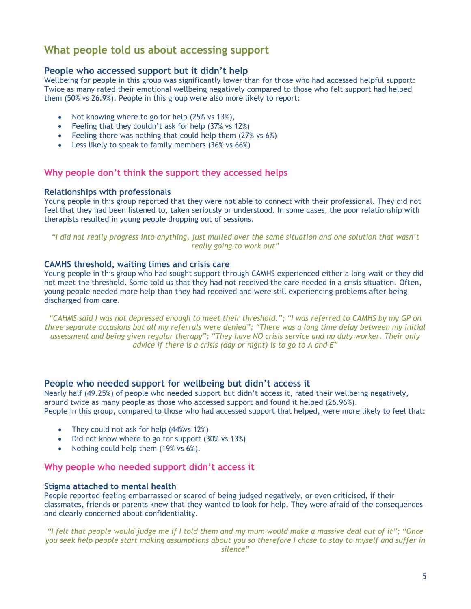# <span id="page-5-0"></span>**What people told us about accessing support**

### **People who accessed support but it didn't help**

Wellbeing for people in this group was significantly lower than for those who had accessed helpful support: Twice as many rated their emotional wellbeing negatively compared to those who felt support had helped them (50% vs 26.9%). People in this group were also more likely to report:

- Not knowing where to go for help (25% vs 13%),
- Feeling that they couldn't ask for help (37% vs 12%)
- Feeling there was nothing that could help them (27% vs 6%)
- **Example 1** Less likely to speak to family members (36% vs 66%)

#### **Why people don't think the support they accessed helps**

#### **Relationships with professionals**

Young people in this group reported that they were not able to connect with their professional. They did not feel that they had been listened to, taken seriously or understood. In some cases, the poor relationship with therapists resulted in young people dropping out of sessions.

*"I did not really progress into anything, just mulled over the same situation and one solution that wasn't really going to work out"*

#### **CAMHS threshold, waiting times and crisis care**

Young people in this group who had sought support through CAMHS experienced either a long wait or they did not meet the threshold. Some told us that they had not received the care needed in a crisis situation. Often, young people needed more help than they had received and were still experiencing problems after being discharged from care.

*"CAHMS said I was not depressed enough to meet their threshold."; "I was referred to CAMHS by my GP on three separate occasions but all my referrals were denied"; "There was a long time delay between my initial assessment and being given regular therapy"; "They have NO crisis service and no duty worker. Their only advice if there is a crisis (day or night) is to go to A and E"*

#### **People who needed support for wellbeing but didn't access it**

Nearly half (49.25%) of people who needed support but didn't access it, rated their wellbeing negatively, around twice as many people as those who accessed support and found it helped (26.96%). People in this group, compared to those who had accessed support that helped, were more likely to feel that:

- They could not ask for help (44% vs 12%)
- Did not know where to go for support (30% vs 13%)
- Nothing could help them  $(19\% \text{ vs } 6\%).$

#### **Why people who needed support didn't access it**

#### **Stigma attached to mental health**

People reported feeling embarrassed or scared of being judged negatively, or even criticised, if their classmates, friends or parents knew that they wanted to look for help. They were afraid of the consequences and clearly concerned about confidentiality.

*"I felt that people would judge me if I told them and my mum would make a massive deal out of it"; "Once you seek help people start making assumptions about you so therefore I chose to stay to myself and suffer in silence"*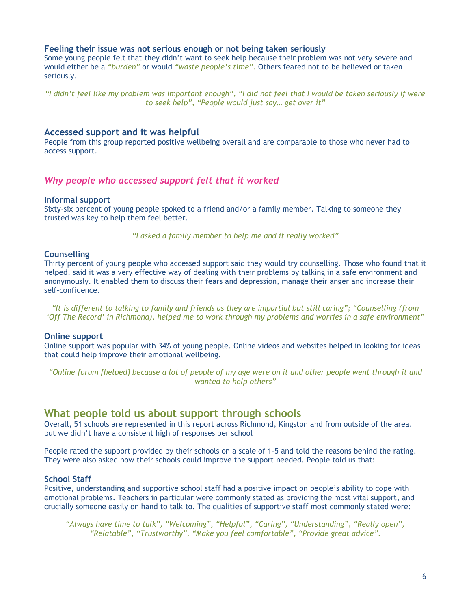#### **Feeling their issue was not serious enough or not being taken seriously**

Some young people felt that they didn't want to seek help because their problem was not very severe and would either be a *"burden"* or would *"waste people's time".* Others feared not to be believed or taken seriously.

*"I didn't feel like my problem was important enough", "I did not feel that I would be taken seriously if were to seek help", "People would just say… get over it"*

#### **Accessed support and it was helpful**

People from this group reported positive wellbeing overall and are comparable to those who never had to access support.

#### *Why people who accessed support felt that it worked*

#### **Informal support**

Sixty-six percent of young people spoked to a friend and/or a family member. Talking to someone they trusted was key to help them feel better.

*"I asked a family member to help me and it really worked"*

#### **Counselling**

Thirty percent of young people who accessed support said they would try counselling. Those who found that it helped, said it was a very effective way of dealing with their problems by talking in a safe environment and anonymously. It enabled them to discuss their fears and depression, manage their anger and increase their self-confidence.

*"It is different to talking to family and friends as they are impartial but still caring"; "Counselling (from 'Off The Record' in Richmond), helped me to work through my problems and worries in a safe environment"*

#### **Online support**

Online support was popular with 34% of young people. Online videos and websites helped in looking for ideas that could help improve their emotional wellbeing.

*"Online forum [helped] because a lot of people of my age were on it and other people went through it and wanted to help others"*

#### <span id="page-6-0"></span>**What people told us about support through schools**

Overall, 51 schools are represented in this report across Richmond, Kingston and from outside of the area. but we didn't have a consistent high of responses per school

People rated the support provided by their schools on a scale of 1-5 and told the reasons behind the rating. They were also asked how their schools could improve the support needed. People told us that:

#### **School Staff**

Positive, understanding and supportive school staff had a positive impact on people's ability to cope with emotional problems. Teachers in particular were commonly stated as providing the most vital support, and crucially someone easily on hand to talk to. The qualities of supportive staff most commonly stated were:

*"Always have time to talk", "Welcoming", "Helpful", "Caring", "Understanding", "Really open", "Relatable", "Trustworthy", "Make you feel comfortable", "Provide great advice".*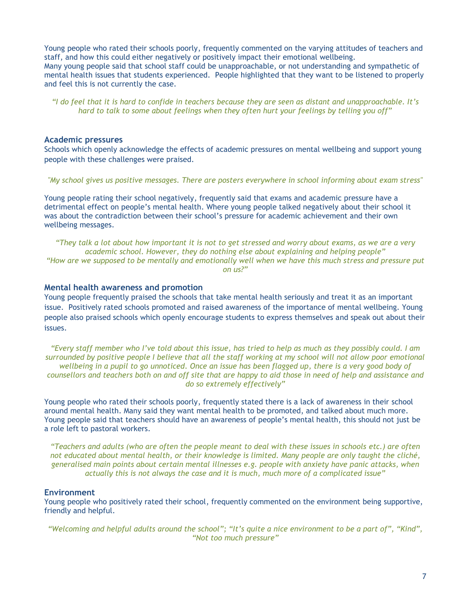Young people who rated their schools poorly, frequently commented on the varying attitudes of teachers and staff, and how this could either negatively or positively impact their emotional wellbeing. Many young people said that school staff could be unapproachable, or not understanding and sympathetic of mental health issues that students experienced. People highlighted that they want to be listened to properly and feel this is not currently the case.

*"I do feel that it is hard to confide in teachers because they are seen as distant and unapproachable. It's hard to talk to some about feelings when they often hurt your feelings by telling you off"*

#### **Academic pressures**

Schools which openly acknowledge the effects of academic pressures on mental wellbeing and support young people with these challenges were praised.

*"My school gives us positive messages. There are posters everywhere in school informing about exam stress"*

Young people rating their school negatively, frequently said that exams and academic pressure have a detrimental effect on people's mental health. Where young people talked negatively about their school it was about the contradiction between their school's pressure for academic achievement and their own wellbeing messages.

*"They talk a lot about how important it is not to get stressed and worry about exams, as we are a very academic school. However, they do nothing else about explaining and helping people" "How are we supposed to be mentally and emotionally well when we have this much stress and pressure put on us?"*

#### **Mental health awareness and promotion**

Young people frequently praised the schools that take mental health seriously and treat it as an important issue. Positively rated schools promoted and raised awareness of the importance of mental wellbeing. Young people also praised schools which openly encourage students to express themselves and speak out about their issues.

*"Every staff member who I've told about this issue, has tried to help as much as they possibly could. I am surrounded by positive people I believe that all the staff working at my school will not allow poor emotional wellbeing in a pupil to go unnoticed. Once an issue has been flagged up, there is a very good body of counsellors and teachers both on and off site that are happy to aid those in need of help and assistance and do so extremely effectively"*

Young people who rated their schools poorly, frequently stated there is a lack of awareness in their school around mental health. Many said they want mental health to be promoted, and talked about much more. Young people said that teachers should have an awareness of people's mental health, this should not just be a role left to pastoral workers.

*"Teachers and adults (who are often the people meant to deal with these issues in schools etc.) are often not educated about mental health, or their knowledge is limited. Many people are only taught the cliché, generalised main points about certain mental illnesses e.g. people with anxiety have panic attacks, when actually this is not always the case and it is much, much more of a complicated issue"* 

#### **Environment**

Young people who positively rated their school, frequently commented on the environment being supportive, friendly and helpful.

*"Welcoming and helpful adults around the school"; "It's quite a nice environment to be a part of", "Kind", "Not too much pressure"*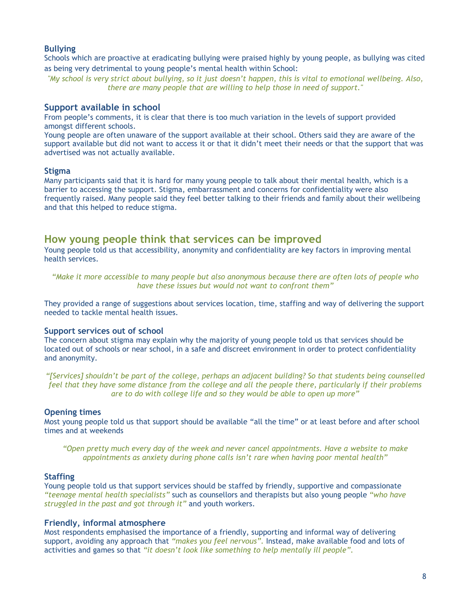#### **Bullying**

Schools which are proactive at eradicating bullying were praised highly by young people, as bullying was cited as being very detrimental to young people's mental health within School:

*"My school is very strict about bullying, so it just doesn't happen, this is vital to emotional wellbeing. Also, there are many people that are willing to help those in need of support."*

#### **Support available in school**

From people's comments, it is clear that there is too much variation in the levels of support provided amongst different schools.

Young people are often unaware of the support available at their school. Others said they are aware of the support available but did not want to access it or that it didn't meet their needs or that the support that was advertised was not actually available.

#### **Stigma**

Many participants said that it is hard for many young people to talk about their mental health, which is a barrier to accessing the support. Stigma, embarrassment and concerns for confidentiality were also frequently raised. Many people said they feel better talking to their friends and family about their wellbeing and that this helped to reduce stigma.

### <span id="page-8-0"></span>**How young people think that services can be improved**

Young people told us that accessibility, anonymity and confidentiality are key factors in improving mental health services.

*"Make it more accessible to many people but also anonymous because there are often lots of people who have these issues but would not want to confront them"*

They provided a range of suggestions about services location, time, staffing and way of delivering the support needed to tackle mental health issues.

#### **Support services out of school**

The concern about stigma may explain why the majority of young people told us that services should be located out of schools or near school, in a safe and discreet environment in order to protect confidentiality and anonymity.

*"[Services] shouldn't be part of the college, perhaps an adjacent building? So that students being counselled feel that they have some distance from the college and all the people there, particularly if their problems are to do with college life and so they would be able to open up more"*

#### **Opening times**

Most young people told us that support should be available "all the time" or at least before and after school times and at weekends

*"Open pretty much every day of the week and never cancel appointments. Have a website to make appointments as anxiety during phone calls isn't rare when having poor mental health"*

#### **Staffing**

Young people told us that support services should be staffed by friendly, supportive and compassionate *"teenage mental health specialists"* such as counsellors and therapists but also young people *"who have struggled in the past and got through it"* and youth workers.

#### **Friendly, informal atmosphere**

Most respondents emphasised the importance of a friendly, supporting and informal way of delivering support, avoiding any approach that *"makes you feel nervous".* Instead, make available food and lots of activities and games so that *"it doesn't look like something to help mentally ill people".*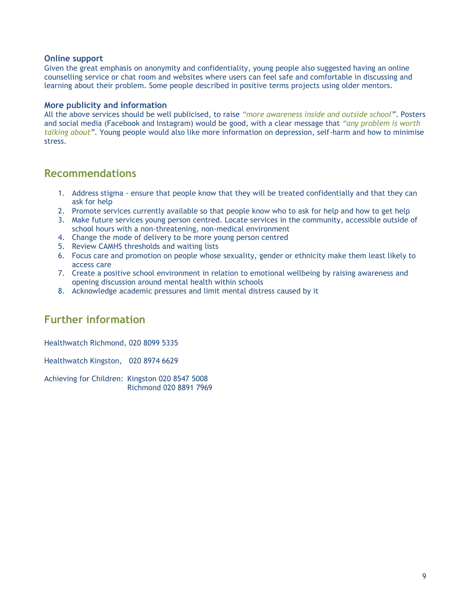#### **Online support**

Given the great emphasis on anonymity and confidentiality, young people also suggested having an online counselling service or chat room and websites where users can feel safe and comfortable in discussing and learning about their problem. Some people described in positive terms projects using older mentors.

#### **More publicity and information**

All the above services should be well publicised, to raise *"more awareness inside and outside school"*. Posters and social media (Facebook and Instagram) would be good, with a clear message that *"any problem is worth talking about"*. Young people would also like more information on depression, self-harm and how to minimise stress.

## <span id="page-9-0"></span>**Recommendations**

- 1. Address stigma ensure that people know that they will be treated confidentially and that they can ask for help
- 2. Promote services currently available so that people know who to ask for help and how to get help
- 3. Make future services young person centred. Locate services in the community, accessible outside of school hours with a non-threatening, non-medical environment
- 4. Change the mode of delivery to be more young person centred
- 5. Review CAMHS thresholds and waiting lists
- 6. Focus care and promotion on people whose sexuality, gender or ethnicity make them least likely to access care
- 7. Create a positive school environment in relation to emotional wellbeing by raising awareness and opening discussion around mental health within schools
- 8. Acknowledge academic pressures and limit mental distress caused by it

# <span id="page-9-1"></span>**Further information**

Healthwatch Richmond, 020 8099 5335

Healthwatch Kingston, 020 8974 6629

Achieving for Children: Kingston 020 8547 5008 Richmond 020 8891 7969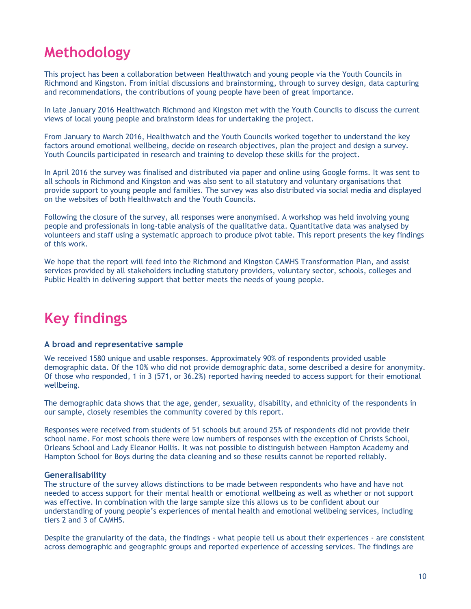# <span id="page-10-0"></span>**Methodology**

This project has been a collaboration between Healthwatch and young people via the Youth Councils in Richmond and Kingston. From initial discussions and brainstorming, through to survey design, data capturing and recommendations, the contributions of young people have been of great importance.

In late January 2016 Healthwatch Richmond and Kingston met with the Youth Councils to discuss the current views of local young people and brainstorm ideas for undertaking the project.

From January to March 2016, Healthwatch and the Youth Councils worked together to understand the key factors around emotional wellbeing, decide on research objectives, plan the project and design a survey. Youth Councils participated in research and training to develop these skills for the project.

In April 2016 the survey was finalised and distributed via paper and online using Google forms. It was sent to all schools in Richmond and Kingston and was also sent to all statutory and voluntary organisations that provide support to young people and families. The survey was also distributed via social media and displayed on the websites of both Healthwatch and the Youth Councils.

Following the closure of the survey, all responses were anonymised. A workshop was held involving young people and professionals in long-table analysis of the qualitative data. Quantitative data was analysed by volunteers and staff using a systematic approach to produce pivot table. This report presents the key findings of this work.

We hope that the report will feed into the Richmond and Kingston CAMHS Transformation Plan, and assist services provided by all stakeholders including statutory providers, voluntary sector, schools, colleges and Public Health in delivering support that better meets the needs of young people.

# <span id="page-10-1"></span>**Key findings**

#### **A broad and representative sample**

We received 1580 unique and usable responses. Approximately 90% of respondents provided usable demographic data. Of the 10% who did not provide demographic data, some described a desire for anonymity. Of those who responded, 1 in 3 (571, or 36.2%) reported having needed to access support for their emotional wellbeing.

The demographic data shows that the age, gender, sexuality, disability, and ethnicity of the respondents in our sample, closely resembles the community covered by this report.

Responses were received from students of 51 schools but around 25% of respondents did not provide their school name. For most schools there were low numbers of responses with the exception of Christs School, Orleans School and Lady Eleanor Hollis. It was not possible to distinguish between Hampton Academy and Hampton School for Boys during the data cleaning and so these results cannot be reported reliably.

#### **Generalisability**

The structure of the survey allows distinctions to be made between respondents who have and have not needed to access support for their mental health or emotional wellbeing as well as whether or not support was effective. In combination with the large sample size this allows us to be confident about our understanding of young people's experiences of mental health and emotional wellbeing services, including tiers 2 and 3 of CAMHS.

Despite the granularity of the data, the findings - what people tell us about their experiences - are consistent across demographic and geographic groups and reported experience of accessing services. The findings are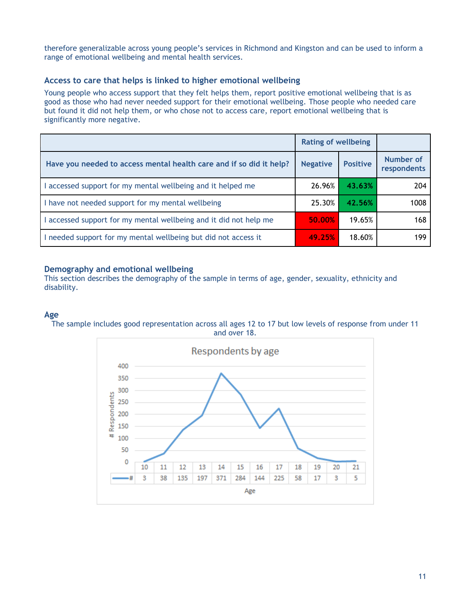therefore generalizable across young people's services in Richmond and Kingston and can be used to inform a range of emotional wellbeing and mental health services.

### **Access to care that helps is linked to higher emotional wellbeing**

Young people who access support that they felt helps them, report positive emotional wellbeing that is as good as those who had never needed support for their emotional wellbeing. Those people who needed care but found it did not help them, or who chose not to access care, report emotional wellbeing that is significantly more negative.

|                                                                     | <b>Rating of wellbeing</b> |                 |                                 |
|---------------------------------------------------------------------|----------------------------|-----------------|---------------------------------|
| Have you needed to access mental health care and if so did it help? | <b>Negative</b>            | <b>Positive</b> | <b>Number of</b><br>respondents |
| accessed support for my mental wellbeing and it helped me           | 26.96%                     | 43.63%          | 204                             |
| I have not needed support for my mental wellbeing                   | 25.30%                     | 42.56%          | 1008                            |
| accessed support for my mental wellbeing and it did not help me     | 50.00%                     | 19.65%          | 168                             |
| I needed support for my mental wellbeing but did not access it      | 49.25%                     | 18.60%          | 199                             |

#### **Demography and emotional wellbeing**

This section describes the demography of the sample in terms of age, gender, sexuality, ethnicity and disability.

#### **Age**



The sample includes good representation across all ages 12 to 17 but low levels of response from under 11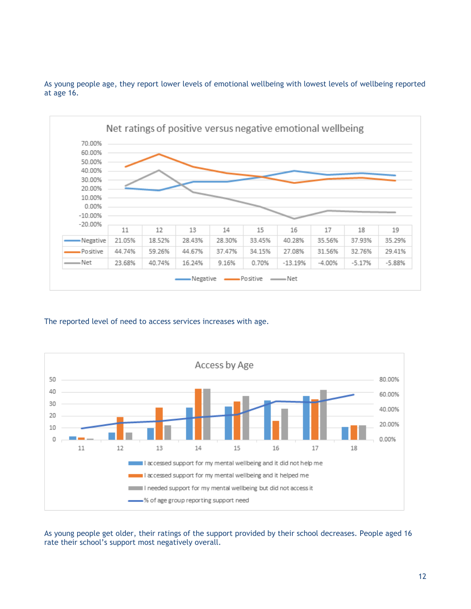



The reported level of need to access services increases with age.



As young people get older, their ratings of the support provided by their school decreases. People aged 16 rate their school's support most negatively overall.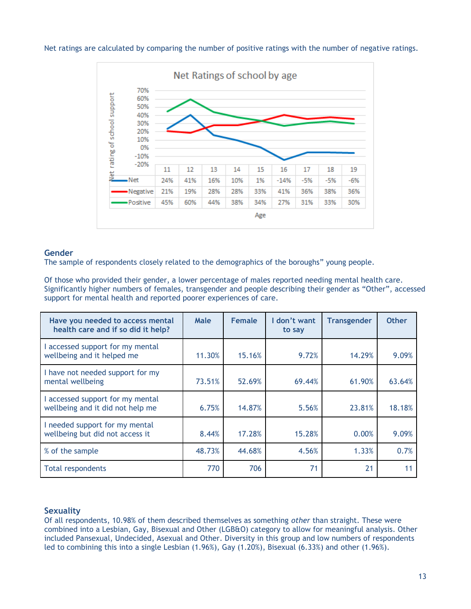

Net ratings are calculated by comparing the number of positive ratings with the number of negative ratings.

#### **Gender**

The sample of respondents closely related to the demographics of the boroughs" young people.

Of those who provided their gender, a lower percentage of males reported needing mental health care. Significantly higher numbers of females, transgender and people describing their gender as "Other", accessed support for mental health and reported poorer experiences of care.

| Have you needed to access mental<br>health care and if so did it help? | Male   | <b>Female</b> | I don't want<br>to say | <b>Transgender</b> | <b>Other</b> |
|------------------------------------------------------------------------|--------|---------------|------------------------|--------------------|--------------|
| I accessed support for my mental<br>wellbeing and it helped me         | 11.30% | 15.16%        | 9.72%                  | 14.29%             | 9.09%        |
| I have not needed support for my<br>mental wellbeing                   | 73.51% | 52.69%        | 69.44%                 | 61.90%             | 63.64%       |
| I accessed support for my mental<br>wellbeing and it did not help me   | 6.75%  | 14.87%        | 5.56%                  | 23.81%             | 18.18%       |
| I needed support for my mental<br>wellbeing but did not access it      | 8.44%  | 17.28%        | 15.28%                 | 0.00%              | 9.09%        |
| % of the sample                                                        | 48.73% | 44.68%        | 4.56%                  | 1.33%              | 0.7%         |
| <b>Total respondents</b>                                               | 770    | 706           | 71                     | 21                 | 11           |

### **Sexuality**

Of all respondents, 10.98% of them described themselves as something *other* than straight. These were combined into a Lesbian, Gay, Bisexual and Other (LGB&O) category to allow for meaningful analysis. Other included Pansexual, Undecided, Asexual and Other. Diversity in this group and low numbers of respondents led to combining this into a single Lesbian (1.96%), Gay (1.20%), Bisexual (6.33%) and other (1.96%).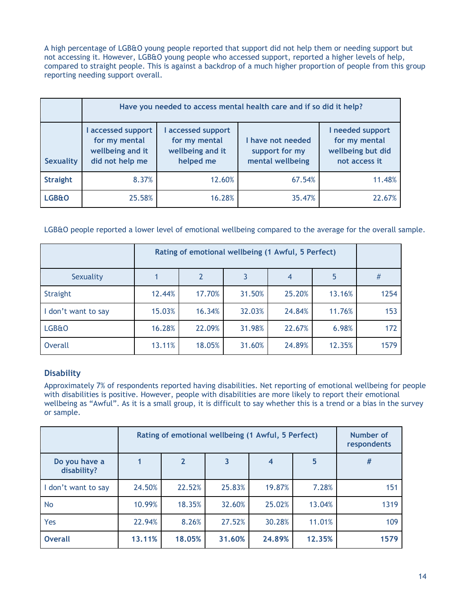A high percentage of LGB&O young people reported that support did not help them or needing support but not accessing it. However, LGB&O young people who accessed support, reported a higher levels of help, compared to straight people. This is against a backdrop of a much higher proportion of people from this group reporting needing support overall.

|                  | Have you needed to access mental health care and if so did it help?      |                                                                    |                                                         |                                                                         |  |
|------------------|--------------------------------------------------------------------------|--------------------------------------------------------------------|---------------------------------------------------------|-------------------------------------------------------------------------|--|
| <b>Sexuality</b> | accessed support<br>for my mental<br>wellbeing and it<br>did not help me | accessed support<br>for my mental<br>wellbeing and it<br>helped me | I have not needed<br>support for my<br>mental wellbeing | I needed support<br>for my mental<br>wellbeing but did<br>not access it |  |
| <b>Straight</b>  | 8.37%                                                                    | 12.60%                                                             | 67.54%                                                  | 11.48%                                                                  |  |
| <b>LGB&amp;O</b> | 25.58%                                                                   | 16.28%                                                             | 35.47%                                                  | 22.67%                                                                  |  |

LGB&O people reported a lower level of emotional wellbeing compared to the average for the overall sample.

|                     | Rating of emotional wellbeing (1 Awful, 5 Perfect) |        |        |        |        |      |
|---------------------|----------------------------------------------------|--------|--------|--------|--------|------|
| Sexuality           |                                                    |        | 3      | 4      | 5      | #    |
| Straight            | 12.44%                                             | 17.70% | 31.50% | 25.20% | 13.16% | 1254 |
| I don't want to say | 15.03%                                             | 16.34% | 32.03% | 24.84% | 11.76% | 153  |
| LGB&O               | 16.28%                                             | 22.09% | 31.98% | 22.67% | 6.98%  | 172  |
| Overall             | 13.11%                                             | 18.05% | 31.60% | 24.89% | 12.35% | 1579 |

## **Disability**

Approximately 7% of respondents reported having disabilities. Net reporting of emotional wellbeing for people with disabilities is positive. However, people with disabilities are more likely to report their emotional wellbeing as "Awful". As it is a small group, it is difficult to say whether this is a trend or a bias in the survey or sample.

|                              | Rating of emotional wellbeing (1 Awful, 5 Perfect) | Number of<br>respondents |                         |        |                 |      |
|------------------------------|----------------------------------------------------|--------------------------|-------------------------|--------|-----------------|------|
| Do you have a<br>disability? |                                                    | $\mathbf{2}$             | $\overline{\mathbf{3}}$ | 4      | $5\phantom{.0}$ | #    |
| I don't want to say          | 24.50%                                             | 22.52%                   | 25.83%                  | 19.87% | 7.28%           | 151  |
| <b>No</b>                    | 10.99%                                             | 18.35%                   | 32.60%                  | 25.02% | 13.04%          | 1319 |
| Yes                          | 22.94%                                             | 8.26%                    | 27.52%                  | 30.28% | 11.01%          | 109  |
| <b>Overall</b>               | 13.11%                                             | 18.05%                   | 31.60%                  | 24.89% | 12.35%          | 1579 |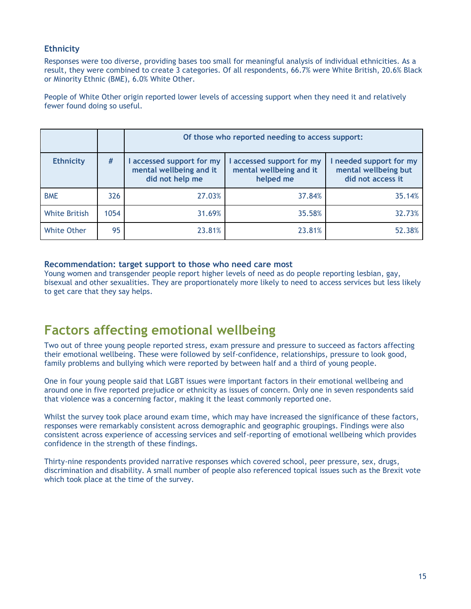### **Ethnicity**

Responses were too diverse, providing bases too small for meaningful analysis of individual ethnicities. As a result, they were combined to create 3 categories. Of all respondents, 66.7% were White British, 20.6% Black or Minority Ethnic (BME), 6.0% White Other.

People of White Other origin reported lower levels of accessing support when they need it and relatively fewer found doing so useful.

|                      |      | Of those who reported needing to access support:                      |                                                                   |                                                                      |  |
|----------------------|------|-----------------------------------------------------------------------|-------------------------------------------------------------------|----------------------------------------------------------------------|--|
| <b>Ethnicity</b>     | #    | accessed support for my<br>mental wellbeing and it<br>did not help me | I accessed support for my<br>mental wellbeing and it<br>helped me | I needed support for my<br>mental wellbeing but<br>did not access it |  |
| <b>BME</b>           | 326  | 27.03%                                                                | 37.84%                                                            | 35.14%                                                               |  |
| <b>White British</b> | 1054 | 31.69%                                                                | 35.58%                                                            | 32.73%                                                               |  |
| <b>White Other</b>   | 95   | 23.81%                                                                | 23.81%                                                            | 52.38%                                                               |  |

#### **Recommendation: target support to those who need care most**

Young women and transgender people report higher levels of need as do people reporting lesbian, gay, bisexual and other sexualities. They are proportionately more likely to need to access services but less likely to get care that they say helps.

# <span id="page-15-0"></span>**Factors affecting emotional wellbeing**

Two out of three young people reported stress, exam pressure and pressure to succeed as factors affecting their emotional wellbeing. These were followed by self-confidence, relationships, pressure to look good, family problems and bullying which were reported by between half and a third of young people.

One in four young people said that LGBT issues were important factors in their emotional wellbeing and around one in five reported prejudice or ethnicity as issues of concern. Only one in seven respondents said that violence was a concerning factor, making it the least commonly reported one.

Whilst the survey took place around exam time, which may have increased the significance of these factors, responses were remarkably consistent across demographic and geographic groupings. Findings were also consistent across experience of accessing services and self-reporting of emotional wellbeing which provides confidence in the strength of these findings.

Thirty-nine respondents provided narrative responses which covered school, peer pressure, sex, drugs, discrimination and disability. A small number of people also referenced topical issues such as the Brexit vote which took place at the time of the survey.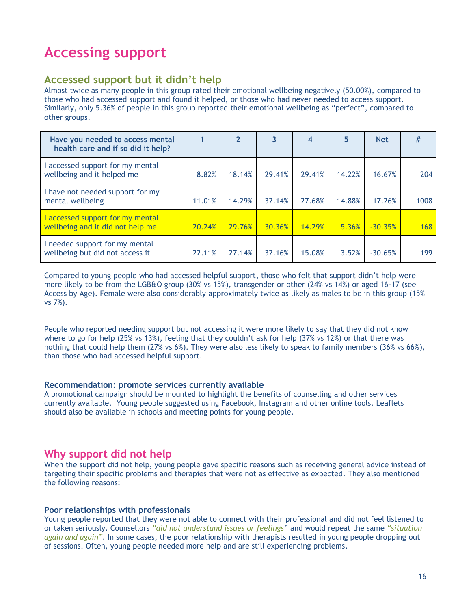# <span id="page-16-0"></span>**Accessing support**

## <span id="page-16-1"></span>**Accessed support but it didn't help**

Almost twice as many people in this group rated their emotional wellbeing negatively (50.00%), compared to those who had accessed support and found it helped, or those who had never needed to access support. Similarly, only 5.36% of people in this group reported their emotional wellbeing as "perfect", compared to other groups.

| Have you needed to access mental<br>health care and if so did it help? |        | $\overline{2}$ | 3      | 4      | 5      | <b>Net</b> | #          |
|------------------------------------------------------------------------|--------|----------------|--------|--------|--------|------------|------------|
| I accessed support for my mental<br>wellbeing and it helped me         | 8.82%  | 18.14%         | 29.41% | 29.41% | 14.22% | 16.67%     | 204        |
| I have not needed support for my<br>mental wellbeing                   | 11.01% | 14.29%         | 32.14% | 27.68% | 14.88% | 17.26%     | 1008       |
| I accessed support for my mental<br>wellbeing and it did not help me   | 20.24% | 29.76%         | 30.36% | 14.29% | 5.36%  | $-30.35%$  | <b>168</b> |
| I needed support for my mental<br>wellbeing but did not access it      | 22.11% | 27.14%         | 32.16% | 15.08% | 3.52%  | $-30.65%$  | 199        |

Compared to young people who had accessed helpful support, those who felt that support didn't help were more likely to be from the LGB&O group (30% vs 15%), transgender or other (24% vs 14%) or aged 16-17 (see Access by Age). Female were also considerably approximately twice as likely as males to be in this group (15% vs 7%).

People who reported needing support but not accessing it were more likely to say that they did not know where to go for help (25% vs 13%), feeling that they couldn't ask for help (37% vs 12%) or that there was nothing that could help them (27% vs 6%). They were also less likely to speak to family members (36% vs 66%), than those who had accessed helpful support.

#### **Recommendation: promote services currently available**

A promotional campaign should be mounted to highlight the benefits of counselling and other services currently available. Young people suggested using Facebook, Instagram and other online tools. Leaflets should also be available in schools and meeting points for young people.

## **Why support did not help**

When the support did not help, young people gave specific reasons such as receiving general advice instead of targeting their specific problems and therapies that were not as effective as expected. They also mentioned the following reasons:

#### **Poor relationships with professionals**

Young people reported that they were not able to connect with their professional and did not feel listened to or taken seriously. Counsellors *"did not understand issues or feelings*" and would repeat the same *"situation again and again"*. In some cases, the poor relationship with therapists resulted in young people dropping out of sessions. Often, young people needed more help and are still experiencing problems.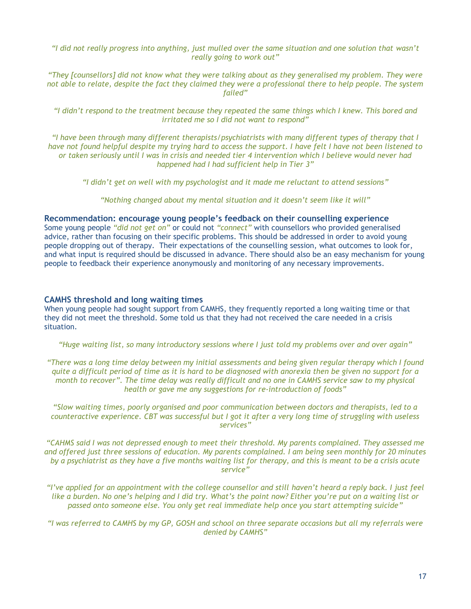*"I did not really progress into anything, just mulled over the same situation and one solution that wasn't really going to work out"*

*"They [counsellors] did not know what they were talking about as they generalised my problem. They were not able to relate, despite the fact they claimed they were a professional there to help people. The system failed"*

*"I didn't respond to the treatment because they repeated the same things which I knew. This bored and irritated me so I did not want to respond"*

*"I have been through many different therapists/psychiatrists with many different types of therapy that I have not found helpful despite my trying hard to access the support. I have felt I have not been listened to or taken seriously until I was in crisis and needed tier 4 intervention which I believe would never had happened had I had sufficient help in Tier 3"*

*"I didn't get on well with my psychologist and it made me reluctant to attend sessions"*

*"Nothing changed about my mental situation and it doesn't seem like it will"*

#### **Recommendation: encourage young people's feedback on their counselling experience**

Some young people *"did not get on"* or could not *"connect"* with counsellors who provided generalised advice, rather than focusing on their specific problems. This should be addressed in order to avoid young people dropping out of therapy. Their expectations of the counselling session, what outcomes to look for, and what input is required should be discussed in advance. There should also be an easy mechanism for young people to feedback their experience anonymously and monitoring of any necessary improvements.

#### **CAMHS threshold and long waiting times**

When young people had sought support from CAMHS, they frequently reported a long waiting time or that they did not meet the threshold. Some told us that they had not received the care needed in a crisis situation.

*"Huge waiting list, so many introductory sessions where I just told my problems over and over again"*

*"There was a long time delay between my initial assessments and being given regular therapy which I found quite a difficult period of time as it is hard to be diagnosed with anorexia then be given no support for a month to recover". The time delay was really difficult and no one in CAMHS service saw to my physical health or gave me any suggestions for re-introduction of foods"*

*"Slow waiting times, poorly organised and poor communication between doctors and therapists, led to a counteractive experience. CBT was successful but I got it after a very long time of struggling with useless services"*

*"CAHMS said I was not depressed enough to meet their threshold. My parents complained. They assessed me and offered just three sessions of education. My parents complained. I am being seen monthly for 20 minutes by a psychiatrist as they have a five months waiting list for therapy, and this is meant to be a crisis acute service"*

*"I've applied for an appointment with the college counsellor and still haven't heard a reply back. I just feel like a burden. No one's helping and I did try. What's the point now? Either you're put on a waiting list or passed onto someone else. You only get real immediate help once you start attempting suicide"*

*"I was referred to CAMHS by my GP, GOSH and school on three separate occasions but all my referrals were denied by CAMHS"*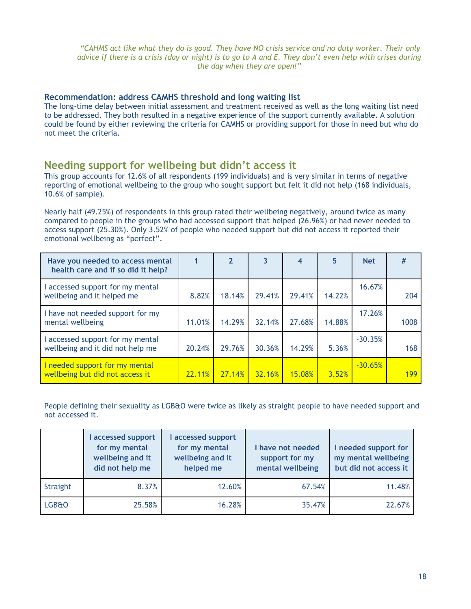*"CAHMS act like what they do is good. They have NO crisis service and no duty worker. Their only advice if there is a crisis (day or night) is to go to A and E. They don't even help with crises during the day when they are open!"*

#### **Recommendation: address CAMHS threshold and long waiting list**

The long-time delay between initial assessment and treatment received as well as the long waiting list need to be addressed. They both resulted in a negative experience of the support currently available. A solution could be found by either reviewing the criteria for CAMHS or providing support for those in need but who do not meet the criteria.

## <span id="page-18-0"></span>**Needing support for wellbeing but didn't access it**

This group accounts for 12.6% of all respondents (199 individuals) and is very similar in terms of negative reporting of emotional wellbeing to the group who sought support but felt it did not help (168 individuals, 10.6% of sample).

Nearly half (49.25%) of respondents in this group rated their wellbeing negatively, around twice as many compared to people in the groups who had accessed support that helped (26.96%) or had never needed to access support (25.30%). Only 3.52% of people who needed support but did not access it reported their emotional wellbeing as "perfect".

| Have you needed to access mental<br>health care and if so did it help? |        | 2      | 3      | $\boldsymbol{4}$ | 5      | <b>Net</b> | #    |
|------------------------------------------------------------------------|--------|--------|--------|------------------|--------|------------|------|
| I accessed support for my mental<br>wellbeing and it helped me         | 8.82%  | 18.14% | 29.41% | 29.41%           | 14.22% | 16.67%     | 204  |
| I have not needed support for my<br>mental wellbeing                   | 11.01% | 14.29% | 32.14% | 27.68%           | 14.88% | 17.26%     | 1008 |
| I accessed support for my mental<br>wellbeing and it did not help me   | 20.24% | 29.76% | 30.36% | 14.29%           | 5.36%  | $-30.35%$  | 168  |
| I needed support for my mental<br>wellbeing but did not access it      | 22.11% | 27.14% | 32.16% | 15.08%           | 3.52%  | $-30.65%$  | 199  |

People defining their sexuality as LGB&O were twice as likely as straight people to have needed support and not accessed it.

|                  | accessed support<br>for my mental<br>wellbeing and it<br>did not help me | accessed support<br>for my mental<br>wellbeing and it<br>helped me | I have not needed<br>support for my<br>mental wellbeing | I needed support for<br>my mental wellbeing<br>but did not access it |
|------------------|--------------------------------------------------------------------------|--------------------------------------------------------------------|---------------------------------------------------------|----------------------------------------------------------------------|
| Straight         | 8.37%                                                                    | 12.60%                                                             | 67.54%                                                  | 11.48%                                                               |
| <b>LGB&amp;O</b> | 25.58%                                                                   | 16.28%                                                             | 35.47%                                                  | 22.67%                                                               |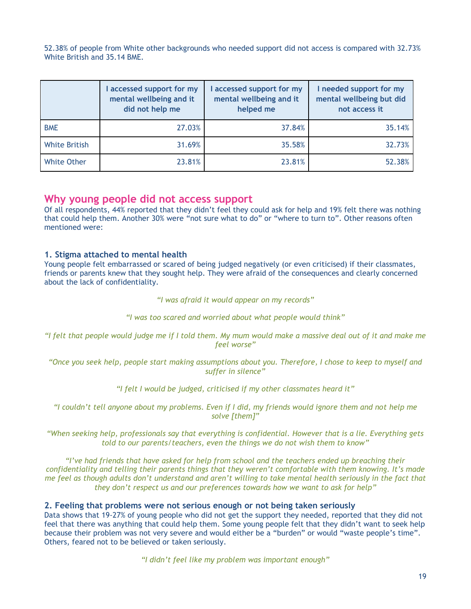52.38% of people from White other backgrounds who needed support did not access is compared with 32.73% White British and 35.14 BME.

|                      | I accessed support for my<br>mental wellbeing and it<br>did not help me | accessed support for my<br>mental wellbeing and it<br>helped me | I needed support for my<br>mental wellbeing but did<br>not access it |
|----------------------|-------------------------------------------------------------------------|-----------------------------------------------------------------|----------------------------------------------------------------------|
| <b>BME</b>           | 27.03%                                                                  | 37.84%                                                          | 35.14%                                                               |
| <b>White British</b> | 31.69%                                                                  | 35.58%                                                          | 32.73%                                                               |
| <b>White Other</b>   | 23.81%                                                                  | 23.81%                                                          | 52.38%                                                               |

## **Why young people did not access support**

Of all respondents, 44% reported that they didn't feel they could ask for help and 19% felt there was nothing that could help them. Another 30% were "not sure what to do" or "where to turn to". Other reasons often mentioned were:

#### **1. Stigma attached to mental health**

Young people felt embarrassed or scared of being judged negatively (or even criticised) if their classmates, friends or parents knew that they sought help. They were afraid of the consequences and clearly concerned about the lack of confidentiality.

*"I was afraid it would appear on my records"*

*"I was too scared and worried about what people would think"*

*"I felt that people would judge me if I told them. My mum would make a massive deal out of it and make me feel worse"*

*"Once you seek help, people start making assumptions about you. Therefore, I chose to keep to myself and suffer in silence"*

*"I felt I would be judged, criticised if my other classmates heard it"*

*"I couldn't tell anyone about my problems. Even if I did, my friends would ignore them and not help me solve [them]"*

*"When seeking help, professionals say that everything is confidential. However that is a lie. Everything gets told to our parents/teachers, even the things we do not wish them to know"*

*"I've had friends that have asked for help from school and the teachers ended up breaching their confidentiality and telling their parents things that they weren't comfortable with them knowing. It's made me feel as though adults don't understand and aren't willing to take mental health seriously in the fact that they don't respect us and our preferences towards how we want to ask for help"*

#### **2. Feeling that problems were not serious enough or not being taken seriously**

Data shows that 19-27% of young people who did not get the support they needed, reported that they did not feel that there was anything that could help them. Some young people felt that they didn't want to seek help because their problem was not very severe and would either be a "burden" or would "waste people's time". Others, feared not to be believed or taken seriously.

*"I didn't feel like my problem was important enough"*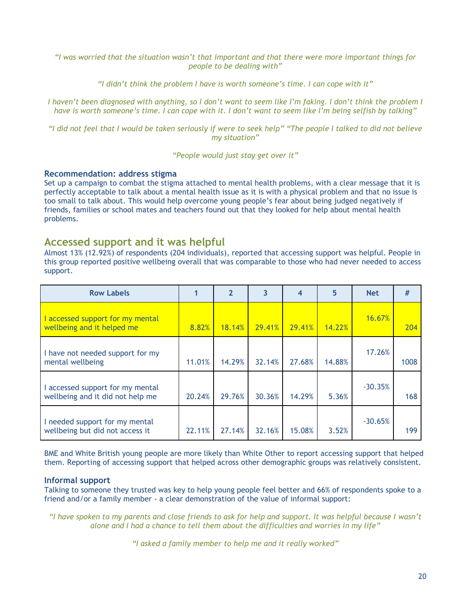*"I was worried that the situation wasn't that important and that there were more important things for people to be dealing with"*

*"I didn't think the problem I have is worth someone's time. I can cope with it"*

*I haven't been diagnosed with anything, so I don't want to seem like I'm faking. I don't think the problem I have is worth someone's time. I can cope with it. I don't want to seem like I'm being selfish by talking"*

*"I did not feel that I would be taken seriously if were to seek help" "The people I talked to did not believe my situation"*

*"People would just stay get over it"*

#### **Recommendation: address stigma**

Set up a campaign to combat the stigma attached to mental health problems, with a clear message that it is perfectly acceptable to talk about a mental health issue as it is with a physical problem and that no issue is too small to talk about. This would help overcome young people's fear about being judged negatively if friends, families or school mates and teachers found out that they looked for help about mental health problems.

## <span id="page-20-0"></span>**Accessed support and it was helpful**

Almost 13% (12.92%) of respondents (204 individuals), reported that accessing support was helpful. People in this group reported positive wellbeing overall that was comparable to those who had never needed to access support.

| <b>Row Labels</b>                                                    |        | $\overline{2}$ | 3      | 4      | 5      | <b>Net</b> | #    |
|----------------------------------------------------------------------|--------|----------------|--------|--------|--------|------------|------|
| accessed support for my mental<br>wellbeing and it helped me         | 8.82%  | 18.14%         | 29.41% | 29.41% | 14.22% | 16.67%     | 204  |
| I have not needed support for my<br>mental wellbeing                 | 11.01% | 14.29%         | 32.14% | 27.68% | 14.88% | 17.26%     | 1008 |
| I accessed support for my mental<br>wellbeing and it did not help me | 20.24% | 29.76%         | 30.36% | 14.29% | 5.36%  | $-30.35%$  | 168  |
| I needed support for my mental<br>wellbeing but did not access it    | 22.11% | 27.14%         | 32.16% | 15.08% | 3.52%  | $-30.65%$  | 199  |

BME and White British young people are more likely than White Other to report accessing support that helped them. Reporting of accessing support that helped across other demographic groups was relatively consistent.

#### **Informal support**

Talking to someone they trusted was key to help young people feel better and 66% of respondents spoke to a friend and/or a family member - a clear demonstration of the value of informal support:

*"I have spoken to my parents and close friends to ask for help and support. It was helpful because I wasn't alone and I had a chance to tell them about the difficulties and worries in my life"*

*"I asked a family member to help me and it really worked"*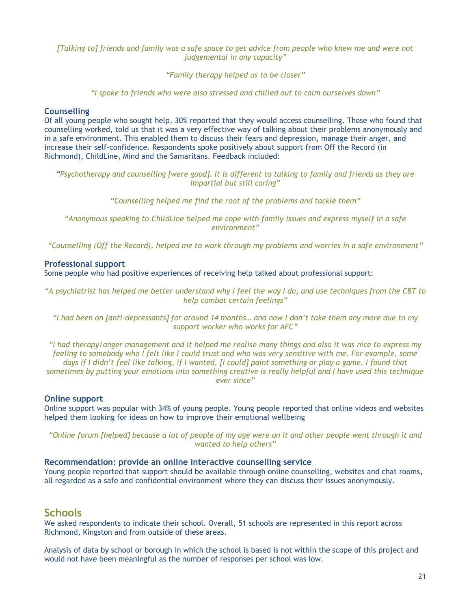#### *[Talking to] friends and family was a safe space to get advice from people who knew me and were not judgemental in any capacity"*

*"Family therapy helped us to be closer"*

*"I spoke to friends who were also stressed and chilled out to calm ourselves down"*

#### **Counselling**

Of all young people who sought help, 30% reported that they would access counselling. Those who found that counselling worked, told us that it was a very effective way of talking about their problems anonymously and in a safe environment. This enabled them to discuss their fears and depression, manage their anger, and increase their self-confidence. Respondents spoke positively about support from Off the Record (in Richmond), ChildLine, Mind and the Samaritans. Feedback included:

*"Psychotherapy and counselling [were good]. It is different to talking to family and friends as they are impartial but still caring"*

*"Counselling helped me find the root of the problems and tackle them"*

*"Anonymous speaking to ChildLine helped me cope with family issues and express myself in a safe environment"*

*"Counselling (Off the Record), helped me to work through my problems and worries in a safe environment"*

#### **Professional support**

Some people who had positive experiences of receiving help talked about professional support:

*"A psychiatrist has helped me better understand why I feel the way I do, and use techniques from the CBT to help combat certain feelings"*

*"I had been on [anti-depressants] for around 14 months… and now I don't take them any more due to my support worker who works for AFC"*

*"I had therapy/anger management and it helped me realise many things and also it was nice to express my feeling to somebody who I felt like I could trust and who was very sensitive with me. For example, some days if I didn't feel like talking, if I wanted, [I could] paint something or play a game. I found that sometimes by putting your emotions into something creative is really helpful and I have used this technique ever since"*

#### **Online support**

Online support was popular with 34% of young people. Young people reported that online videos and websites helped them looking for ideas on how to improve their emotional wellbeing

*"Online forum [helped] because a lot of people of my age were on it and other people went through it and wanted to help others"*

#### **Recommendation: provide an online interactive counselling service**

Young people reported that support should be available through online counselling, websites and chat rooms, all regarded as a safe and confidential environment where they can discuss their issues anonymously.

## <span id="page-21-0"></span>**Schools**

We asked respondents to indicate their school. Overall, 51 schools are represented in this report across Richmond, Kingston and from outside of these areas.

Analysis of data by school or borough in which the school is based is not within the scope of this project and would not have been meaningful as the number of responses per school was low.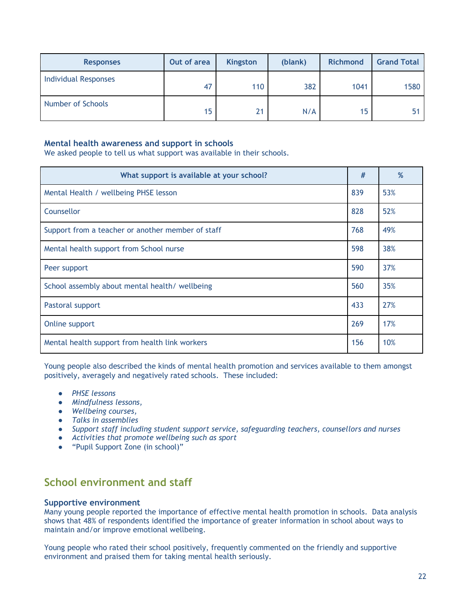| <b>Responses</b>            | Out of area | <b>Kingston</b> | (blank) | <b>Richmond</b> | <b>Grand Total</b> |
|-----------------------------|-------------|-----------------|---------|-----------------|--------------------|
| <b>Individual Responses</b> | 47          | 110             | 382     | 1041            | 1580               |
| Number of Schools           | 15          | 21              | N/A     | 15              |                    |

#### **Mental health awareness and support in schools**

We asked people to tell us what support was available in their schools.

| What support is available at your school?         |     | %   |
|---------------------------------------------------|-----|-----|
| Mental Health / wellbeing PHSE lesson             | 839 | 53% |
| Counsellor                                        | 828 | 52% |
| Support from a teacher or another member of staff | 768 | 49% |
| Mental health support from School nurse           | 598 | 38% |
| Peer support                                      | 590 | 37% |
| School assembly about mental health/ wellbeing    | 560 | 35% |
| Pastoral support                                  | 433 | 27% |
| Online support                                    | 269 | 17% |
| Mental health support from health link workers    | 156 | 10% |

Young people also described the kinds of mental health promotion and services available to them amongst positively, averagely and negatively rated schools. These included:

- *PHSE lessons*
- *Mindfulness lessons,*
- *Wellbeing courses,*
- *Talks in assemblies*
- *Support staff including student support service, safeguarding teachers, counsellors and nurses*
- *Activities that promote wellbeing such as sport*
- "Pupil Support Zone (in school)"

# <span id="page-22-0"></span>**School environment and staff**

#### **Supportive environment**

Many young people reported the importance of effective mental health promotion in schools. Data analysis shows that 48% of respondents identified the importance of greater information in school about ways to maintain and/or improve emotional wellbeing.

Young people who rated their school positively, frequently commented on the friendly and supportive environment and praised them for taking mental health seriously.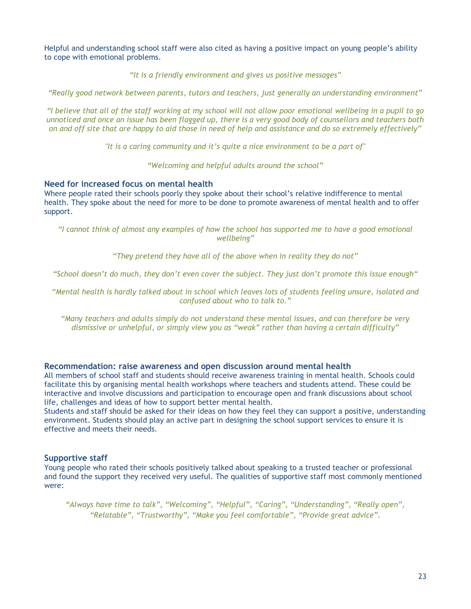Helpful and understanding school staff were also cited as having a positive impact on young people's ability to cope with emotional problems.

*"It is a friendly environment and gives us positive messages"*

*"Really good network between parents, tutors and teachers, just generally an understanding environment"* 

*"I believe that all of the staff working at my school will not allow poor emotional wellbeing in a pupil to go unnoticed and once an issue has been flagged up, there is a very good body of counsellors and teachers both on and off site that are happy to aid those in need of help and assistance and do so extremely effectively"*

*"It is a caring community and it's quite a nice environment to be a part of"*

*"Welcoming and helpful adults around the school"*

#### **Need for increased focus on mental health**

Where people rated their schools poorly they spoke about their school's relative indifference to mental health. They spoke about the need for more to be done to promote awareness of mental health and to offer support.

*"I cannot think of almost any examples of how the school has supported me to have a good emotional wellbeing"*

*"They pretend they have all of the above when in reality they do not"*

*"School doesn't do much, they don't even cover the subject. They just don't promote this issue enough"*

*"Mental health is hardly talked about in school which leaves lots of students feeling unsure, isolated and confused about who to talk to."*

*"Many teachers and adults simply do not understand these mental issues, and can therefore be very dismissive or unhelpful, or simply view you as "weak" rather than having a certain difficulty"*

#### **Recommendation: raise awareness and open discussion around mental health**

All members of school staff and students should receive awareness training in mental health. Schools could facilitate this by organising mental health workshops where teachers and students attend. These could be interactive and involve discussions and participation to encourage open and frank discussions about school life, challenges and ideas of how to support better mental health.

Students and staff should be asked for their ideas on how they feel they can support a positive, understanding environment. Students should play an active part in designing the school support services to ensure it is effective and meets their needs.

#### **Supportive staff**

Young people who rated their schools positively talked about speaking to a trusted teacher or professional and found the support they received very useful. The qualities of supportive staff most commonly mentioned were:

*"Always have time to talk", "Welcoming", "Helpful", "Caring", "Understanding", "Really open", "Relatable", "Trustworthy", "Make you feel comfortable", "Provide great advice".*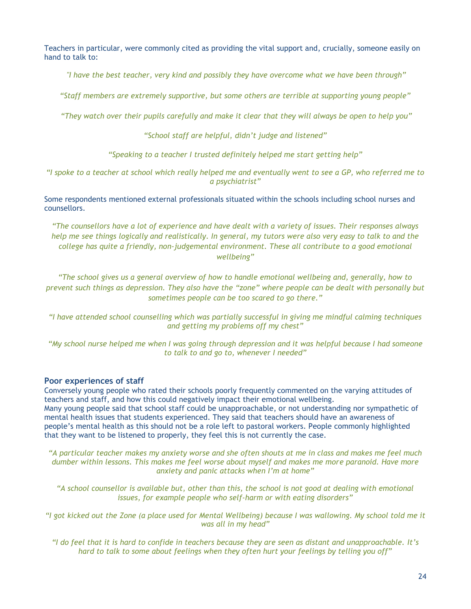Teachers in particular, were commonly cited as providing the vital support and, crucially, someone easily on hand to talk to:

*"I have the best teacher, very kind and possibly they have overcome what we have been through"* 

*"Staff members are extremely supportive, but some others are terrible at supporting young people"*

*"They watch over their pupils carefully and make it clear that they will always be open to help you"*

*"School staff are helpful, didn't judge and listened"*

*"Speaking to a teacher I trusted definitely helped me start getting help"*

*"I spoke to a teacher at school which really helped me and eventually went to see a GP, who referred me to a psychiatrist"*

Some respondents mentioned external professionals situated within the schools including school nurses and counsellors.

*"The counsellors have a lot of experience and have dealt with a variety of issues. Their responses always help me see things logically and realistically. In general, my tutors were also very easy to talk to and the college has quite a friendly, non-judgemental environment. These all contribute to a good emotional wellbeing"*

*"The school gives us a general overview of how to handle emotional wellbeing and, generally, how to prevent such things as depression. They also have the "zone" where people can be dealt with personally but sometimes people can be too scared to go there."*

*"I have attended school counselling which was partially successful in giving me mindful calming techniques and getting my problems off my chest"*

*"My school nurse helped me when I was going through depression and it was helpful because I had someone to talk to and go to, whenever I needed"*

#### **Poor experiences of staff**

Conversely young people who rated their schools poorly frequently commented on the varying attitudes of teachers and staff, and how this could negatively impact their emotional wellbeing. Many young people said that school staff could be unapproachable, or not understanding nor sympathetic of mental health issues that students experienced. They said that teachers should have an awareness of people's mental health as this should not be a role left to pastoral workers. People commonly highlighted that they want to be listened to properly, they feel this is not currently the case.

*"A particular teacher makes my anxiety worse and she often shouts at me in class and makes me feel much dumber within lessons. This makes me feel worse about myself and makes me more paranoid. Have more anxiety and panic attacks when I'm at home"*

*"A school counsellor is available but, other than this, the school is not good at dealing with emotional issues, for example people who self-harm or with eating disorders"*

*"I got kicked out the Zone (a place used for Mental Wellbeing) because I was wallowing. My school told me it was all in my head"*

*"I do feel that it is hard to confide in teachers because they are seen as distant and unapproachable. It's hard to talk to some about feelings when they often hurt your feelings by telling you off"*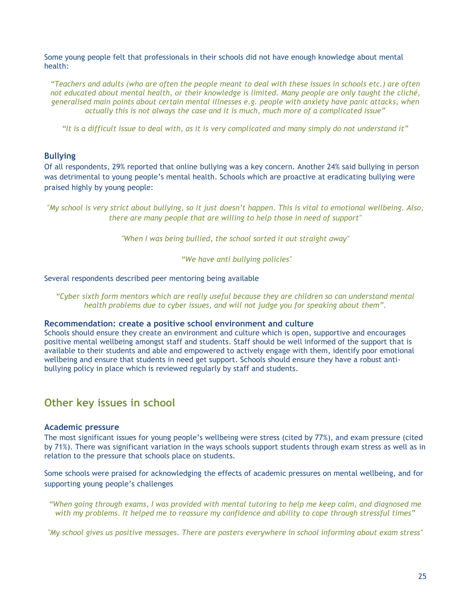Some young people felt that professionals in their schools did not have enough knowledge about mental health:

*"Teachers and adults (who are often the people meant to deal with these issues in schools etc.) are often not educated about mental health, or their knowledge is limited. Many people are only taught the cliché, generalised main points about certain mental illnesses e.g. people with anxiety have panic attacks, when actually this is not always the case and it is much, much more of a complicated issue"* 

*"It is a difficult issue to deal with, as it is very complicated and many simply do not understand it"*

#### <span id="page-25-0"></span>**Bullying**

Of all respondents, 29% reported that online bullying was a key concern. Another 24% said bullying in person was detrimental to young people's mental health. Schools which are proactive at eradicating bullying were praised highly by young people:

*"My school is very strict about bullying, so it just doesn't happen. This is vital to emotional wellbeing. Also, there are many people that are willing to help those in need of support"*

*"When I was being bullied, the school sorted it out straight away"*

*"We have anti bullying policies"* 

#### Several respondents described peer mentoring being available

*"Cyber sixth form mentors which are really useful because they are children so can understand mental health problems due to cyber issues, and will not judge you for speaking about them".* 

#### **Recommendation: create a positive school environment and culture**

Schools should ensure they create an environment and culture which is open, supportive and encourages positive mental wellbeing amongst staff and students. Staff should be well informed of the support that is available to their students and able and empowered to actively engage with them, identify poor emotional wellbeing and ensure that students in need get support. Schools should ensure they have a robust antibullying policy in place which is reviewed regularly by staff and students.

## <span id="page-25-1"></span>**Other key issues in school**

#### <span id="page-25-2"></span>**Academic pressure**

The most significant issues for young people's wellbeing were stress (cited by 77%), and exam pressure (cited by 71%). There was significant variation in the ways schools support students through exam stress as well as in relation to the pressure that schools place on students.

Some schools were praised for acknowledging the effects of academic pressures on mental wellbeing, and for supporting young people's challenges

*"When going through exams, I was provided with mental tutoring to help me keep calm, and diagnosed me with my problems. It helped me to reassure my confidence and ability to cope through stressful times"*

*"My school gives us positive messages. There are posters everywhere in school informing about exam stress"*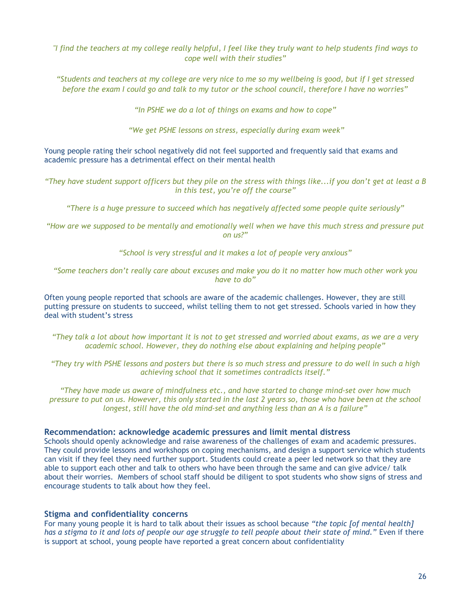*"I find the teachers at my college really helpful, I feel like they truly want to help students find ways to cope well with their studies"*

*"Students and teachers at my college are very nice to me so my wellbeing is good, but if I get stressed before the exam I could go and talk to my tutor or the school council, therefore I have no worries"*

*"In PSHE we do a lot of things on exams and how to cope"*

*"We get PSHE lessons on stress, especially during exam week"*

Young people rating their school negatively did not feel supported and frequently said that exams and academic pressure has a detrimental effect on their mental health

*"They have student support officers but they pile on the stress with things like...if you don't get at least a B in this test, you're off the course"*

*"There is a huge pressure to succeed which has negatively affected some people quite seriously"*

*"How are we supposed to be mentally and emotionally well when we have this much stress and pressure put on us?"*

*"School is very stressful and it makes a lot of people very anxious"*

*"Some teachers don't really care about excuses and make you do it no matter how much other work you have to do"*

Often young people reported that schools are aware of the academic challenges. However, they are still putting pressure on students to succeed, whilst telling them to not get stressed. Schools varied in how they deal with student's stress

*"They talk a lot about how important it is not to get stressed and worried about exams, as we are a very academic school. However, they do nothing else about explaining and helping people"* 

*"They try with PSHE lessons and posters but there is so much stress and pressure to do well in such a high achieving school that it sometimes contradicts itself."*

*"They have made us aware of mindfulness etc., and have started to change mind-set over how much pressure to put on us. However, this only started in the last 2 years so, those who have been at the school longest, still have the old mind-set and anything less than an A is a failure"*

#### **Recommendation: acknowledge academic pressures and limit mental distress**

Schools should openly acknowledge and raise awareness of the challenges of exam and academic pressures. They could provide lessons and workshops on coping mechanisms, and design a support service which students can visit if they feel they need further support. Students could create a peer led network so that they are able to support each other and talk to others who have been through the same and can give advice/ talk about their worries. Members of school staff should be diligent to spot students who show signs of stress and encourage students to talk about how they feel.

#### <span id="page-26-0"></span>**Stigma and confidentiality concerns**

For many young people it is hard to talk about their issues as school because *"the topic [of mental health] has a stigma to it and lots of people our age struggle to tell people about their state of mind."* Even if there is support at school, young people have reported a great concern about confidentiality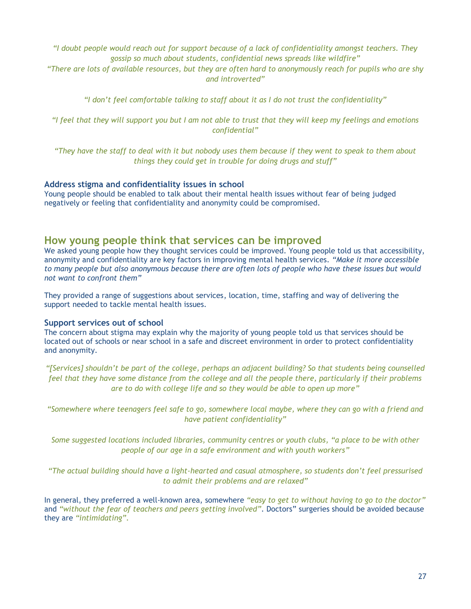*"I doubt people would reach out for support because of a lack of confidentiality amongst teachers. They gossip so much about students, confidential news spreads like wildfire"*

*"There are lots of available resources, but they are often hard to anonymously reach for pupils who are shy and introverted"*

*"I don't feel comfortable talking to staff about it as I do not trust the confidentiality"*

*"I feel that they will support you but I am not able to trust that they will keep my feelings and emotions confidential"*

*"They have the staff to deal with it but nobody uses them because if they went to speak to them about things they could get in trouble for doing drugs and stuff"*

#### **Address stigma and confidentiality issues in school**

Young people should be enabled to talk about their mental health issues without fear of being judged negatively or feeling that confidentiality and anonymity could be compromised.

### <span id="page-27-0"></span>**How young people think that services can be improved**

We asked young people how they thought services could be improved. Young people told us that accessibility, anonymity and confidentiality are key factors in improving mental health services. *"Make it more accessible to many people but also anonymous because there are often lots of people who have these issues but would not want to confront them"*

They provided a range of suggestions about services, location, time, staffing and way of delivering the support needed to tackle mental health issues.

#### **Support services out of school**

The concern about stigma may explain why the majority of young people told us that services should be located out of schools or near school in a safe and discreet environment in order to protect confidentiality and anonymity.

*"[Services] shouldn't be part of the college, perhaps an adjacent building? So that students being counselled feel that they have some distance from the college and all the people there, particularly if their problems are to do with college life and so they would be able to open up more"*

*"Somewhere where teenagers feel safe to go, somewhere local maybe, where they can go with a friend and have patient confidentiality"*

*Some suggested locations included libraries, community centres or youth clubs, "a place to be with other people of our age in a safe environment and with youth workers"*

*"The actual building should have a light-hearted and casual atmosphere, so students don't feel pressurised to admit their problems and are relaxed"*

In general, they preferred a well-known area, somewhere *"easy to get to without having to go to the doctor"* and *"without the fear of teachers and peers getting involved"*. Doctors" surgeries should be avoided because they are *"intimidating".*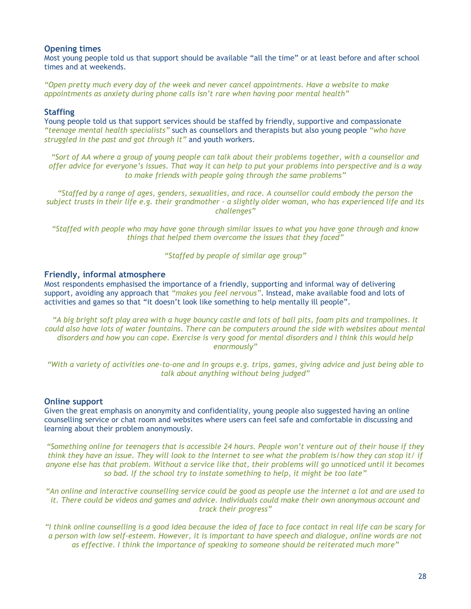#### **Opening times**

Most young people told us that support should be available "all the time" or at least before and after school times and at weekends.

*"Open pretty much every day of the week and never cancel appointments. Have a website to make appointments as anxiety during phone calls isn't rare when having poor mental health"*

#### **Staffing**

Young people told us that support services should be staffed by friendly, supportive and compassionate *"teenage mental health specialists"* such as counsellors and therapists but also young people *"who have struggled in the past and got through it"* and youth workers.

*"Sort of AA where a group of young people can talk about their problems together, with a counsellor and offer advice for everyone's issues. That way it can help to put your problems into perspective and is a way to make friends with people going through the same problems"*

*"Staffed by a range of ages, genders, sexualities, and race. A counsellor could embody the person the subject trusts in their life e.g. their grandmother - a slightly older woman, who has experienced life and its challenges"*

*"Staffed with people who may have gone through similar issues to what you have gone through and know things that helped them overcome the issues that they faced"*

*"Staffed by people of similar age group"*

#### **Friendly, informal atmosphere**

Most respondents emphasised the importance of a friendly, supporting and informal way of delivering support, avoiding any approach that *"makes you feel nervous"*. Instead, make available food and lots of activities and games so that "it doesn't look like something to help mentally ill people".

*"A big bright soft play area with a huge bouncy castle and lots of ball pits, foam pits and trampolines. It could also have lots of water fountains. There can be computers around the side with websites about mental disorders and how you can cope. Exercise is very good for mental disorders and I think this would help enormously"*

*"With a variety of activities one-to-one and in groups e.g. trips, games, giving advice and just being able to talk about anything without being judged"*

#### **Online support**

Given the great emphasis on anonymity and confidentiality, young people also suggested having an online counselling service or chat room and websites where users can feel safe and comfortable in discussing and learning about their problem anonymously.

*"Something online for teenagers that is accessible 24 hours. People won't venture out of their house if they think they have an issue. They will look to the Internet to see what the problem is/how they can stop it/ if anyone else has that problem. Without a service like that, their problems will go unnoticed until it becomes so bad. If the school try to instate something to help, it might be too late"*

*"An online and interactive counselling service could be good as people use the internet a lot and are used to it. There could be videos and games and advice. Individuals could make their own anonymous account and track their progress"*

*"I think online counselling is a good idea because the idea of face to face contact in real life can be scary for a person with low self-esteem. However, it is important to have speech and dialogue, online words are not as effective. I think the importance of speaking to someone should be reiterated much more"*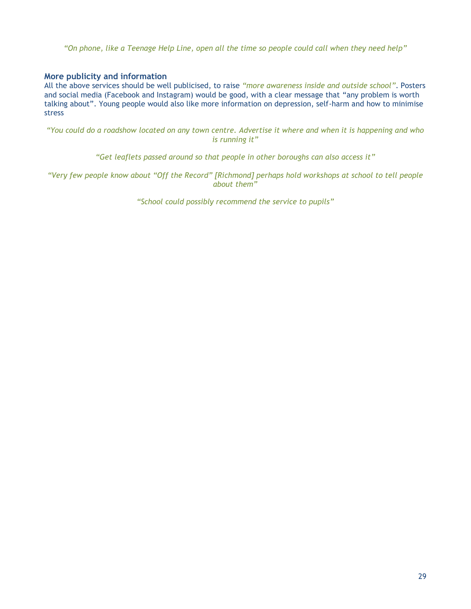*"On phone, like a Teenage Help Line, open all the time so people could call when they need help"*

#### **More publicity and information**

All the above services should be well publicised, to raise *"more awareness inside and outside school"*. Posters and social media (Facebook and Instagram) would be good, with a clear message that "any problem is worth talking about". Young people would also like more information on depression, self-harm and how to minimise stress

*"You could do a roadshow located on any town centre. Advertise it where and when it is happening and who is running it"*

*"Get leaflets passed around so that people in other boroughs can also access it"*

*"Very few people know about "Off the Record" [Richmond] perhaps hold workshops at school to tell people about them"*

*"School could possibly recommend the service to pupils"*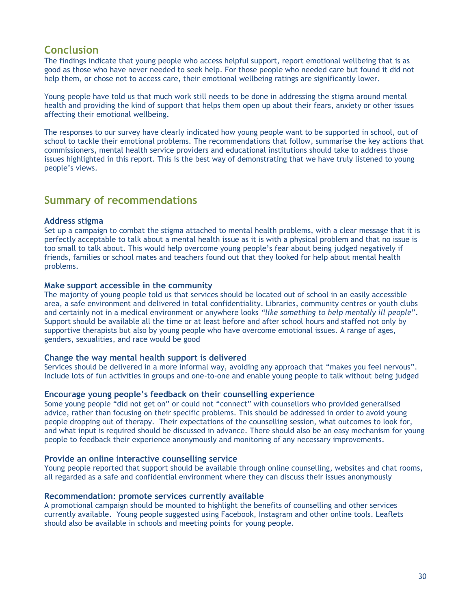# **Conclusion**

The findings indicate that young people who access helpful support, report emotional wellbeing that is as good as those who have never needed to seek help. For those people who needed care but found it did not help them, or chose not to access care, their emotional wellbeing ratings are significantly lower.

Young people have told us that much work still needs to be done in addressing the stigma around mental health and providing the kind of support that helps them open up about their fears, anxiety or other issues affecting their emotional wellbeing.

The responses to our survey have clearly indicated how young people want to be supported in school, out of school to tackle their emotional problems. The recommendations that follow, summarise the key actions that commissioners, mental health service providers and educational institutions should take to address those issues highlighted in this report. This is the best way of demonstrating that we have truly listened to young people's views.

# <span id="page-30-0"></span>**Summary of recommendations**

#### **Address stigma**

Set up a campaign to combat the stigma attached to mental health problems, with a clear message that it is perfectly acceptable to talk about a mental health issue as it is with a physical problem and that no issue is too small to talk about. This would help overcome young people's fear about being judged negatively if friends, families or school mates and teachers found out that they looked for help about mental health problems.

#### **Make support accessible in the community**

The majority of young people told us that services should be located out of school in an easily accessible area, a safe environment and delivered in total confidentiality. Libraries, community centres or youth clubs and certainly not in a medical environment or anywhere looks *"like something to help mentally ill people*". Support should be available all the time or at least before and after school hours and staffed not only by supportive therapists but also by young people who have overcome emotional issues. A range of ages, genders, sexualities, and race would be good

#### **Change the way mental health support is delivered**

Services should be delivered in a more informal way, avoiding any approach that "makes you feel nervous". Include lots of fun activities in groups and one-to-one and enable young people to talk without being judged

#### **Encourage young people's feedback on their counselling experience**

Some young people "did not get on" or could not "connect" with counsellors who provided generalised advice, rather than focusing on their specific problems. This should be addressed in order to avoid young people dropping out of therapy. Their expectations of the counselling session, what outcomes to look for, and what input is required should be discussed in advance. There should also be an easy mechanism for young people to feedback their experience anonymously and monitoring of any necessary improvements.

#### **Provide an online interactive counselling service**

Young people reported that support should be available through online counselling, websites and chat rooms, all regarded as a safe and confidential environment where they can discuss their issues anonymously

#### **Recommendation: promote services currently available**

A promotional campaign should be mounted to highlight the benefits of counselling and other services currently available. Young people suggested using Facebook, Instagram and other online tools. Leaflets should also be available in schools and meeting points for young people.